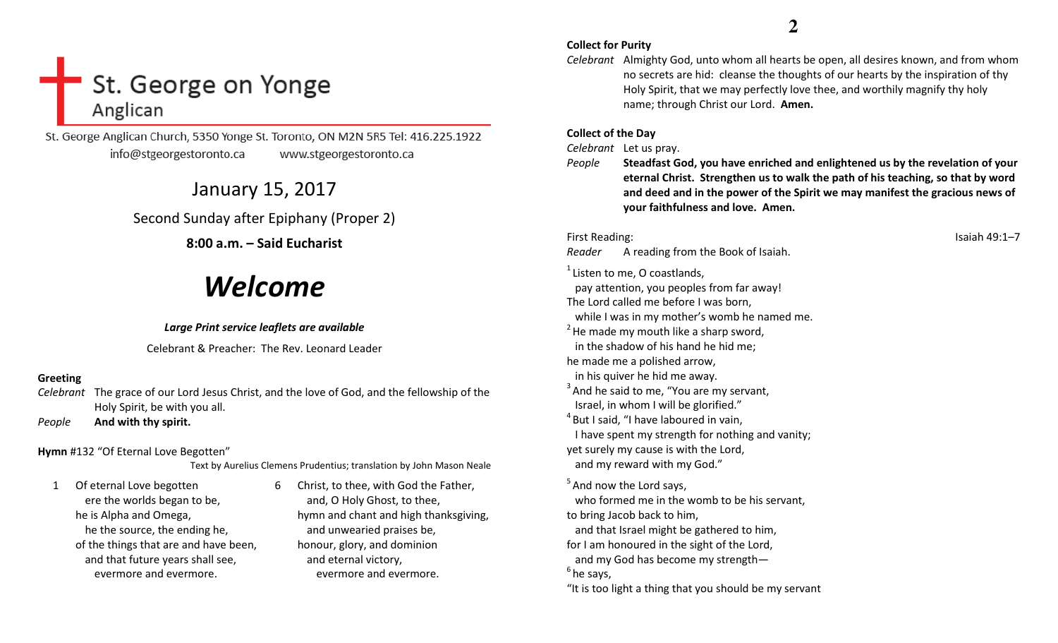# St. George on Yonge Anglican

St. George Anglican Church, 5350 Yonge St. Toronto, ON M2N 5R5 Tel: 416.225.1922 info@stgeorgestoronto.ca www.stgeorgestoronto.ca

January 15, 2017

## Second Sunday after Epiphany (Proper 2)

## 8:00 a.m. – Said Eucharist

# Welcome

## Large Print service leaflets are available

Celebrant & Preacher: The Rev. Leonard Leader

## Greeting

Celebrant The grace of our Lord Jesus Christ, and the love of God, and the fellowship of the Holy Spirit, be with you all.

PeopleAnd with thy spirit.

Hymn #132 "Of Eternal Love Begotten"

Text by Aurelius Clemens Prudentius; translation by John Mason Neale

1 Of eternal Love begotten ere the worlds began to be, he is Alpha and Omega, he the source, the ending he, of the things that are and have been, and that future years shall see, evermore and evermore.

6 Christ, to thee, with God the Father, and, O Holy Ghost, to thee, hymn and chant and high thanksgiving, and unwearied praises be, honour, glory, and dominion and eternal victory, evermore and evermore.

## **2**

- Collect for Purity
- Celebrant Almighty God, unto whom all hearts be open, all desires known, and from whom no secrets are hid: cleanse the thoughts of our hearts by the inspiration of thy Holy Spirit, that we may perfectly love thee, and worthily magnify thy holy name; through Christ our Lord. Amen.

## Collect of the Day

Celebrant Let us pray.

People Steadfast God, you have enriched and enlightened us by the revelation of your eternal Christ. Strengthen us to walk the path of his teaching, so that by word and deed and in the power of the Spirit we may manifest the gracious news of your faithfulness and love. Amen.

First Reading: Isaiah 49:1–7

Reader A reading from the Book of Isaiah.

 $1$  Listen to me, O coastlands, pay attention, you peoples from far away! The Lord called me before I was born, while I was in my mother's womb he named me.  $2$  He made my mouth like a sharp sword, in the shadow of his hand he hid me; he made me a polished arrow, in his quiver he hid me away.  $3<sup>3</sup>$  And he said to me, "You are my servant, Israel, in whom I will be glorified."  $4$ But I said, "I have laboured in vain, I have spent my strength for nothing and vanity;yet surely my cause is with the Lord, and my reward with my God."  $<sup>5</sup>$  And now the Lord says,</sup> who formed me in the womb to be his servant, to bring Jacob back to him, and that Israel might be gathered to him, for I am honoured in the sight of the Lord, and my God has become my strength—  $<sup>6</sup>$  he says,</sup>

"It is too light a thing that you should be my servant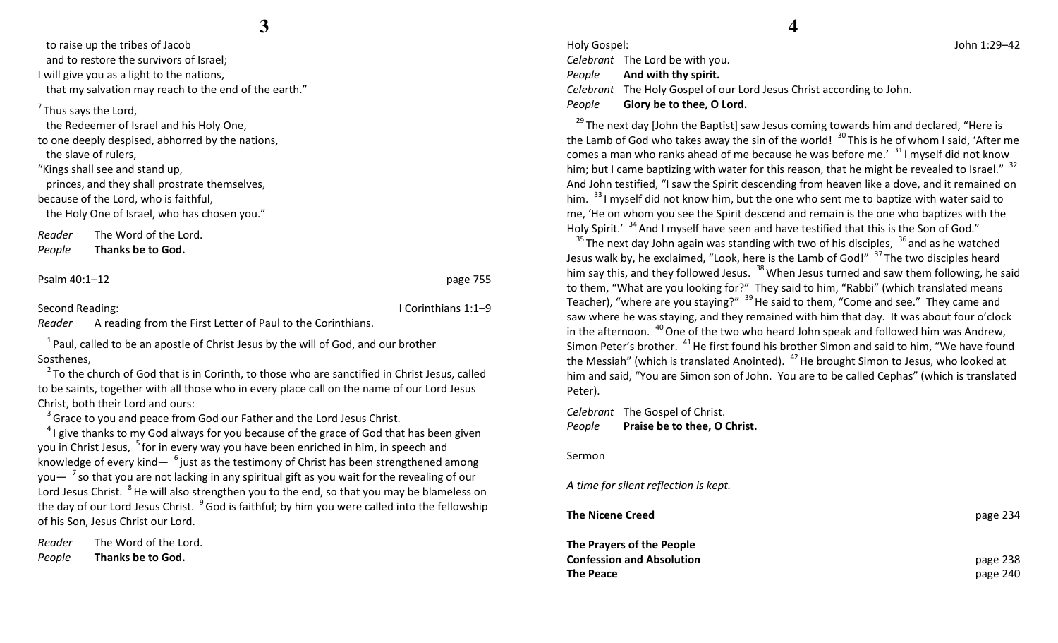**3**

 to raise up the tribes of Jacob and to restore the survivors of Israel; I will give you as a light to the nations, that my salvation may reach to the end of the earth."

 $<sup>7</sup>$ Thus says the Lord,</sup>

the Redeemer of Israel and his Holy One,

to one deeply despised, abhorred by the nations, the slave of rulers,

"Kings shall see and stand up, princes, and they shall prostrate themselves, because of the Lord, who is faithful, the Holy One of Israel, who has chosen you."

Reader The Word of the Lord.

PeopleThanks be to God.

Psalm 40:1–12 page 755

Second Reading: **I Corinthians 1:1–9** 

Reader A reading from the First Letter of Paul to the Corinthians.

 $1$ Paul, called to be an apostle of Christ Jesus by the will of God, and our brother Sosthenes,

 $2$  To the church of God that is in Corinth, to those who are sanctified in Christ Jesus, called to be saints, together with all those who in every place call on the name of our Lord Jesus Christ, both their Lord and ours:

 $3$  Grace to you and peace from God our Father and the Lord Jesus Christ.

 $41$  give thanks to my God always for you because of the grace of God that has been given you in Christ Jesus, <sup>5</sup> for in every way you have been enriched in him, in speech and knowledge of every kind—  $^6$  just as the testimony of Christ has been strengthened among you $-$  <sup>7</sup> so that you are not lacking in any spiritual gift as you wait for the revealing of our Lord Jesus Christ. <sup>8</sup>He will also strengthen you to the end, so that you may be blameless on the day of our Lord Jesus Christ.  $^{9}$  God is faithful; by him you were called into the fellowship of his Son, Jesus Christ our Lord.

Reader The Word of the Lord. PeopleThanks be to God.

Holy Gospel: John 1:29–42 Celebrant The Lord be with you. People And with thy spirit. Celebrant The Holy Gospel of our Lord Jesus Christ according to John. PeopleGlory be to thee, O Lord.

 $29$ The next day [John the Baptist] saw Jesus coming towards him and declared, "Here is the Lamb of God who takes away the sin of the world!  $^{30}$  This is he of whom I said, 'After me comes a man who ranks ahead of me because he was before me.'  $31$  myself did not know him; but I came baptizing with water for this reason, that he might be revealed to Israel."  $32$ And John testified, "I saw the Spirit descending from heaven like a dove, and it remained on him.  $33$  I myself did not know him, but the one who sent me to baptize with water said to me, 'He on whom you see the Spirit descend and remain is the one who baptizes with the Holy Spirit.' <sup>34</sup> And I myself have seen and have testified that this is the Son of God."

<sup>35</sup>The next day John again was standing with two of his disciples,  $36$  and as he watched Jesus walk by, he exclaimed, "Look, here is the Lamb of God!" <sup>37</sup>The two disciples heard him say this, and they followed Jesus. <sup>38</sup> When Jesus turned and saw them following, he said to them, "What are you looking for?" They said to him, "Rabbi" (which translated means Teacher), "where are you staying?"  $39$  He said to them, "Come and see." They came and saw where he was staying, and they remained with him that day. It was about four o'clock in the afternoon.  $40$  One of the two who heard John speak and followed him was Andrew, Simon Peter's brother.  $41$  He first found his brother Simon and said to him, "We have found the Messiah" (which is translated Anointed).  $42$  He brought Simon to Jesus, who looked at him and said, "You are Simon son of John. You are to be called Cephas" (which is translated Peter).

Celebrant The Gospel of Christ. PeoplePraise be to thee, O Christ.

Sermon

A time for silent reflection is kept.

The Nicene Creedd and the contract of the contract of the contract of the contract of the contract of the contract of the contract of the contract of the contract of the contract of the contract of the contract of the contract of the cont The Prayers of the People Confession and Absolutionn and the contract of the contract of the contract of the contract of the contract of the contract of the contract of the contract of the contract of the contract of the contract of the contract of the contract of the cont The Peacee behavior of the contract of the contract of the contract of the contract of the contract of the contract of the contract of the contract of the contract of the contract of the contract of the contract of the contract of